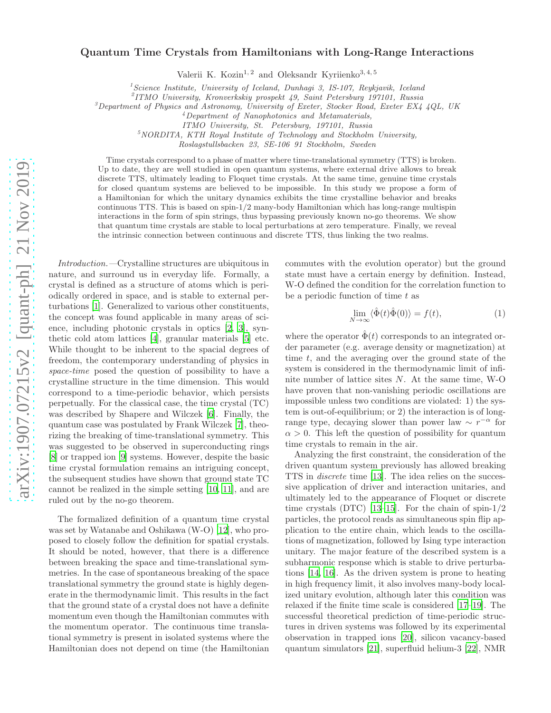## arXiv:1907.07215v2 [quant-ph] 21 Nov 2019 [arXiv:1907.07215v2 \[quant-ph\] 21 Nov 2019](http://arxiv.org/abs/1907.07215v2)

## Quantum Time Crystals from Hamiltonians with Long-Range Interactions

Valerii K. Kozin<sup>1, 2</sup> and Oleksandr Kyriienko<sup>3, 4, 5</sup>

<sup>1</sup>Science Institute, University of Iceland, Dunhagi 3, IS-107, Reykjavik, Iceland

2 ITMO University, Kronverkskiy prospekt 49, Saint Petersburg 197101, Russia

<sup>3</sup>Department of Physics and Astronomy, University of Exeter, Stocker Road, Exeter EX4 4QL, UK

<sup>4</sup>Department of Nanophotonics and Metamaterials,

ITMO University, St. Petersburg, 197101, Russia

 $5NORDITA$ , KTH Royal Institute of Technology and Stockholm University,

Roslagstullsbacken 23, SE-106 91 Stockholm, Sweden

Time crystals correspond to a phase of matter where time-translational symmetry (TTS) is broken. Up to date, they are well studied in open quantum systems, where external drive allows to break discrete TTS, ultimately leading to Floquet time crystals. At the same time, genuine time crystals for closed quantum systems are believed to be impossible. In this study we propose a form of a Hamiltonian for which the unitary dynamics exhibits the time crystalline behavior and breaks continuous TTS. This is based on spin-1/2 many-body Hamiltonian which has long-range multispin interactions in the form of spin strings, thus bypassing previously known no-go theorems. We show that quantum time crystals are stable to local perturbations at zero temperature. Finally, we reveal the intrinsic connection between continuous and discrete TTS, thus linking the two realms.

Introduction.—Crystalline structures are ubiquitous in nature, and surround us in everyday life. Formally, a crystal is defined as a structure of atoms which is periodically ordered in space, and is stable to external perturbations [\[1\]](#page-4-0). Generalized to various other constituents, the concept was found applicable in many areas of science, including photonic crystals in optics [\[2,](#page-4-1) [3](#page-4-2)], synthetic cold atom lattices [\[4](#page-4-3)], granular materials [\[5\]](#page-4-4) etc. While thought to be inherent to the spacial degrees of freedom, the contemporary understanding of physics in space-time posed the question of possibility to have a crystalline structure in the time dimension. This would correspond to a time-periodic behavior, which persists perpetually. For the classical case, the time crystal (TC) was described by Shapere and Wilczek [\[6](#page-4-5)]. Finally, the quantum case was postulated by Frank Wilczek [\[7\]](#page-4-6), theorizing the breaking of time-translational symmetry. This was suggested to be observed in superconducting rings [\[8\]](#page-4-7) or trapped ion [\[9](#page-4-8)] systems. However, despite the basic time crystal formulation remains an intriguing concept, the subsequent studies have shown that ground state TC cannot be realized in the simple setting [\[10,](#page-4-9) [11\]](#page-4-10), and are ruled out by the no-go theorem.

The formalized definition of a quantum time crystal was set by Watanabe and Oshikawa (W-O) [\[12\]](#page-4-11), who proposed to closely follow the definition for spatial crystals. It should be noted, however, that there is a difference between breaking the space and time-translational symmetries. In the case of spontaneous breaking of the space translational symmetry the ground state is highly degenerate in the thermodynamic limit. This results in the fact that the ground state of a crystal does not have a definite momentum even though the Hamiltonian commutes with the momentum operator. The continuous time translational symmetry is present in isolated systems where the Hamiltonian does not depend on time (the Hamiltonian

commutes with the evolution operator) but the ground state must have a certain energy by definition. Instead, W-O defined the condition for the correlation function to be a periodic function of time  $t$  as

<span id="page-0-0"></span>
$$
\lim_{N \to \infty} \langle \hat{\Phi}(t)\hat{\Phi}(0) \rangle = f(t),\tag{1}
$$

where the operator  $\hat{\Phi}(t)$  corresponds to an integrated order parameter (e.g. average density or magnetization) at time  $t$ , and the averaging over the ground state of the system is considered in the thermodynamic limit of infinite number of lattice sites N. At the same time, W-O have proven that non-vanishing periodic oscillations are impossible unless two conditions are violated: 1) the system is out-of-equilibrium; or 2) the interaction is of longrange type, decaying slower than power law  $\sim r^{-\alpha}$  for  $\alpha > 0$ . This left the question of possibility for quantum time crystals to remain in the air.

Analyzing the first constraint, the consideration of the driven quantum system previously has allowed breaking TTS in discrete time [\[13](#page-4-12)]. The idea relies on the successive application of driver and interaction unitaries, and ultimately led to the appearance of Floquet or discrete time crystals (DTC) [\[13](#page-4-12)[–15\]](#page-4-13). For the chain of spin- $1/2$ particles, the protocol reads as simultaneous spin flip application to the entire chain, which leads to the oscillations of magnetization, followed by Ising type interaction unitary. The major feature of the described system is a subharmonic response which is stable to drive perturbations [\[14,](#page-4-14) [16\]](#page-4-15). As the driven system is prone to heating in high frequency limit, it also involves many-body localized unitary evolution, although later this condition was relaxed if the finite time scale is considered [\[17](#page-4-16)[–19](#page-5-0)]. The successful theoretical prediction of time-periodic structures in driven systems was followed by its experimental observation in trapped ions [\[20\]](#page-5-1), silicon vacancy-based quantum simulators [\[21\]](#page-5-2), superfluid helium-3 [\[22](#page-5-3)], NMR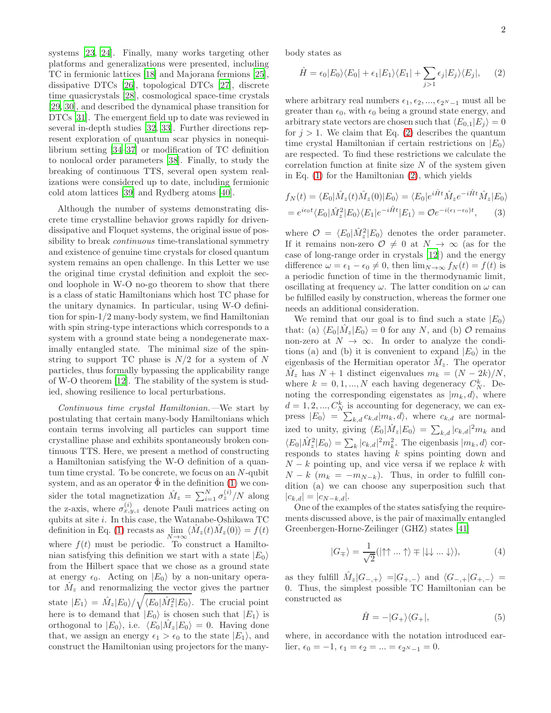systems [\[23](#page-5-4), [24\]](#page-5-5). Finally, many works targeting other platforms and generalizations were presented, including TC in fermionic lattices [\[18\]](#page-5-6) and Majorana fermions [\[25\]](#page-5-7), dissipative DTCs [\[26](#page-5-8)], topological DTCs [\[27\]](#page-5-9), discrete time quasicrystals [\[28](#page-5-10)], cosmological space-time crystals [\[29,](#page-5-11) [30\]](#page-5-12), and described the dynamical phase transition for DTCs [\[31](#page-5-13)]. The emergent field up to date was reviewed in several in-depth studies [\[32](#page-5-14), [33](#page-5-15)]. Further directions represent exploration of quantum scar physics in nonequilibrium setting [\[34–](#page-5-16)[37\]](#page-5-17) or modification of TC definition to nonlocal order parameters [\[38\]](#page-5-18). Finally, to study the breaking of continuous TTS, several open system realizations were considered up to date, including fermionic cold atom lattices [\[39\]](#page-5-19) and Rydberg atoms [\[40\]](#page-5-20).

Although the number of systems demonstrating discrete time crystalline behavior grows rapidly for drivendissipative and Floquet systems, the original issue of possibility to break *continuous* time-translational symmetry and existence of genuine time crystals for closed quantum system remains an open challenge. In this Letter we use the original time crystal definition and exploit the second loophole in W-O no-go theorem to show that there is a class of static Hamiltonians which host TC phase for the unitary dynamics. In particular, using W-O definition for spin-1/2 many-body system, we find Hamiltonian with spin string-type interactions which corresponds to a system with a ground state being a nondegenerate maximally entangled state. The minimal size of the spinstring to support TC phase is  $N/2$  for a system of N particles, thus formally bypassing the applicability range of W-O theorem [\[12\]](#page-4-11). The stability of the system is studied, showing resilience to local perturbations.

Continuous time crystal Hamiltonian.—We start by postulating that certain many-body Hamiltonians which contain terms involving all particles can support time crystalline phase and exhibits spontaneously broken continuous TTS. Here, we present a method of constructing a Hamiltonian satisfying the W-O definition of a quantum time crystal. To be concrete, we focus on an N-qubit system, and as an operator  $\hat{\Phi}$  in the definition ([1\)](#page-0-0) we consider the total magnetization  $\hat{M}_z = \sum_{i=1}^{N} \sigma_z^{(i)} / N$  along the z-axis, where  $\sigma_{x,y,z}^{(i)}$  denote Pauli matrices acting on qubits at site  $i$ . In this case, the Watanabe-Oshikawa TC definition in Eq. [\(1\)](#page-0-0) recasts as  $\lim_{N \to \infty} \langle \hat{M}_z(t) \hat{M}_z(0) \rangle = f(t)$ where  $f(t)$  must be periodic. To construct a Hamiltonian satisfying this definition we start with a state  $|E_0\rangle$ from the Hilbert space that we chose as a ground state at energy  $\epsilon_0$ . Acting on  $|E_0\rangle$  by a non-unitary operator  $\hat{M}_z$  and renormalizing the vector gives the partner state  $|E_1\rangle = \hat{M}_z |E_0\rangle / \sqrt{\langle E_0 | \hat{M}_z^2 | E_0 \rangle}$ . The crucial point here is to demand that  $|E_0\rangle$  is chosen such that  $|E_1\rangle$  is orthogonal to  $|E_0\rangle$ , i.e.  $\langle E_0|\hat{M}_z|E_0\rangle = 0$ . Having done that, we assign an energy  $\epsilon_1 > \epsilon_0$  to the state  $|E_1\rangle$ , and construct the Hamiltonian using projectors for the manybody states as

<span id="page-1-0"></span>
$$
\hat{H} = \epsilon_0 |E_0\rangle\langle E_0| + \epsilon_1 |E_1\rangle\langle E_1| + \sum_{j>1} \epsilon_j |E_j\rangle\langle E_j|, \quad (2)
$$

where arbitrary real numbers  $\epsilon_1, \epsilon_2, ..., \epsilon_{2N-1}$  must all be greater than  $\epsilon_0$ , with  $\epsilon_0$  being a ground state energy, and arbitrary state vectors are chosen such that  $\langle E_{0,1}|E_i \rangle = 0$ for  $j > 1$ . We claim that Eq. [\(2\)](#page-1-0) describes the quantum time crystal Hamiltonian if certain restrictions on  $|E_0\rangle$ are respected. To find these restrictions we calculate the correlation function at finite size  $N$  of the system given in Eq. [\(1\)](#page-0-0) for the Hamiltonian [\(2\)](#page-1-0), which yields

$$
f_N(t) = \langle E_0 | \hat{M}_z(t) \hat{M}_z(0) | E_0 \rangle = \langle E_0 | e^{i\hat{H}t} \hat{M}_z e^{-i\hat{H}t} \hat{M}_z | E_0 \rangle
$$
  
= 
$$
e^{i\epsilon_0 t} \langle E_0 | \hat{M}_z^2 | E_0 \rangle \langle E_1 | e^{-i\hat{H}t} | E_1 \rangle = \mathcal{O}e^{-i(\epsilon_1 - \epsilon_0)t}, \qquad (3)
$$

where  $\mathcal{O} = \langle E_0 | \hat{M}_z^2 | E_0 \rangle$  denotes the order parameter. If it remains non-zero  $\mathcal{O} \neq 0$  at  $N \to \infty$  (as for the case of long-range order in crystals [\[12](#page-4-11)]) and the energy difference  $\omega = \epsilon_1 - \epsilon_0 \neq 0$ , then  $\lim_{N \to \infty} f_N(t) = f(t)$  is a periodic function of time in the thermodynamic limit, oscillating at frequency  $\omega$ . The latter condition on  $\omega$  can be fulfilled easily by construction, whereas the former one needs an additional consideration.

We remind that our goal is to find such a state  $|E_0\rangle$ that: (a)  $\langle E_0 | \hat{M}_z | E_0 \rangle = 0$  for any N, and (b)  $\mathcal{O}$  remains non-zero at  $N \to \infty$ . In order to analyze the conditions (a) and (b) it is convenient to expand  $|E_0\rangle$  in the eigenbasis of the Hermitian operator  $\hat{M}_z$ . The operator  $\hat{M}_z$  has  $N+1$  distinct eigenvalues  $m_k = (N-2k)/N$ , where  $k = 0, 1, ..., N$  each having degeneracy  $C_N^k$ . Denoting the corresponding eigenstates as  $|m_k, d\rangle$ , where  $d = 1, 2, ..., C_N^k$  is accounting for degeneracy, we can express  $|E_0\rangle = \sum_{k,d} c_{k,d} |m_k, d\rangle$ , where  $c_{k,d}$  are normalized to unity, giving  $\langle E_0|\hat{M}_z|E_0\rangle = \sum_{k,d} |c_{k,d}|^2 m_k$  and  $\langle E_0 | \hat{M}_z^2 | E_0 \rangle = \sum_k |c_{k,d}|^2 m_k^2$ . The eigenbasis  $|m_k,d\rangle$  corresponds to states having  $k$  spins pointing down and  $N - k$  pointing up, and vice versa if we replace k with  $N - k$  ( $m_k = -m_{N-k}$ ). Thus, in order to fulfill condition (a) we can choose any superposition such that  $|c_{k,d}| = |c_{N-k,d}|.$ 

One of the examples of the states satisfying the requirements discussed above, is the pair of maximally entangled Greenbergen-Horne-Zeilinger (GHZ) states [\[41](#page-5-21)]

$$
|G_{\pm}\rangle = \frac{1}{\sqrt{2}} (|\uparrow\uparrow \dots \uparrow\rangle \mp |\downarrow\downarrow \dots \downarrow\rangle), \tag{4}
$$

as they fulfill  $\hat{M}_z | G_{-,+}\rangle = | G_{+,-}\rangle$  and  $\langle G_{-,+} | G_{+,-}\rangle =$ 0. Thus, the simplest possible TC Hamiltonian can be constructed as

<span id="page-1-1"></span>
$$
\hat{H} = -|G_{+}\rangle\langle G_{+}|,\tag{5}
$$

where, in accordance with the notation introduced earlier,  $\epsilon_0 = -1$ ,  $\epsilon_1 = \epsilon_2 = ... = \epsilon_{2N-1} = 0$ .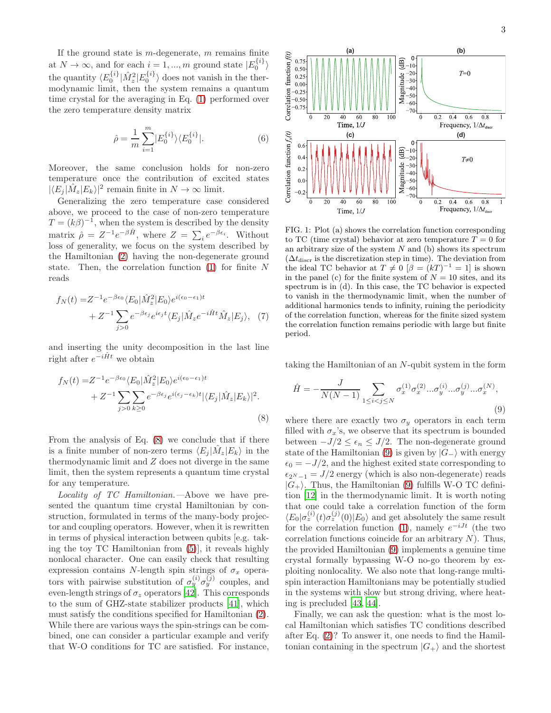If the ground state is  $m$ -degenerate,  $m$  remains finite at  $N \to \infty$ , and for each  $i = 1, ..., m$  ground state  $|E_0^{\{i\}}\rangle$ the quantity  $\langle E_0^{\{i\}} | \hat{M}_z^2 | E_0^{\{i\}} \rangle$  does not vanish in the thermodynamic limit, then the system remains a quantum time crystal for the averaging in Eq. [\(1\)](#page-0-0) performed over the zero temperature density matrix

$$
\hat{\rho} = \frac{1}{m} \sum_{i=1}^{m} |E_0^{\{i\}}\rangle \langle E_0^{\{i\}}|.
$$
 (6)

Moreover, the same conclusion holds for non-zero temperature once the contribution of excited states  $|\langle E_j | \hat{M}_z | E_k \rangle|^2$  remain finite in  $N \to \infty$  limit.

Generalizing the zero temperature case considered above, we proceed to the case of non-zero temperature  $T = (k\beta)^{-1}$ , when the system is described by the density matrix  $\hat{\rho} = Z^{-1} e^{-\beta \hat{H}}, \text{ where } Z = \sum_i e^{-\beta \epsilon_i}.$  Without loss of generality, we focus on the system described by the Hamiltonian [\(2\)](#page-1-0) having the non-degenerate ground state. Then, the correlation function  $(1)$  for finite N reads

$$
f_N(t) = Z^{-1} e^{-\beta \epsilon_0} \langle E_0 | \hat{M}_z^2 | E_0 \rangle e^{i(\epsilon_0 - \epsilon_1)t} + Z^{-1} \sum_{j > 0} e^{-\beta \epsilon_j} e^{i\epsilon_j t} \langle E_j | \hat{M}_z e^{-i\hat{H}t} \hat{M}_z | E_j \rangle, \tag{7}
$$

and inserting the unity decomposition in the last line right after  $e^{-i\hat{H}t}$  we obtain

$$
f_N(t) = Z^{-1} e^{-\beta \epsilon_0} \langle E_0 | \hat{M}_z^2 | E_0 \rangle e^{i(\epsilon_0 - \epsilon_1)t} + Z^{-1} \sum_{j>0} \sum_{k\geq 0} e^{-\beta \epsilon_j} e^{i(\epsilon_j - \epsilon_k)t} |\langle E_j | \hat{M}_z | E_k \rangle|^2.
$$
\n(8)

From the analysis of Eq. [\(8\)](#page-2-0) we conclude that if there is a finite number of non-zero terms  $\langle E_j | \hat{M}_z | E_k \rangle$  in the thermodynamic limit and  $Z$  does not diverge in the same limit, then the system represents a quantum time crystal for any temperature.

Locality of TC Hamiltonian.—Above we have presented the quantum time crystal Hamiltonian by construction, formulated in terms of the many-body projector and coupling operators. However, when it is rewritten in terms of physical interaction between qubits [e.g. taking the toy TC Hamiltonian from [\(5\)](#page-1-1)], it reveals highly nonlocal character. One can easily check that resulting expression contains N-length spin strings of  $\sigma_x$  operators with pairwise substitution of  $\sigma_y^{(i)} \sigma_y^{(j)}$  couples, and even-length strings of  $\sigma_z$  operators [\[42](#page-5-22)]. This corresponds to the sum of GHZ-state stabilizer products [\[41\]](#page-5-21), which must satisfy the conditions specified for Hamiltonian [\(2\)](#page-1-0). While there are various ways the spin-strings can be combined, one can consider a particular example and verify that W-O conditions for TC are satisfied. For instance,



<span id="page-2-2"></span>FIG. 1: Plot (a) shows the correlation function corresponding to TC (time crystal) behavior at zero temperature  $T = 0$  for an arbitrary size of the system  $N$  and (b) shows its spectrum  $(\Delta t_{\rm discr})$  is the discretization step in time). The deviation from the ideal TC behavior at  $T \neq 0$   $\beta = (kT)^{-1} = 1$  is shown in the panel (c) for the finite system of  $N = 10$  sites, and its spectrum is in (d). In this case, the TC behavior is expected to vanish in the thermodynamic limit, when the number of additional harmonics tends to infinity, ruining the periodicity of the correlation function, whereas for the finite sized system the correlation function remains periodic with large but finite period.

taking the Hamiltonian of an N-qubit system in the form

<span id="page-2-1"></span>
$$
\hat{H} = -\frac{J}{N(N-1)} \sum_{1 \le i < j \le N} \sigma_x^{(1)} \sigma_x^{(2)} \dots \sigma_y^{(i)} \dots \sigma_y^{(j)} \dots \sigma_x^{(N)},\tag{9}
$$

<span id="page-2-0"></span>where there are exactly two  $\sigma_y$  operators in each term filled with  $\sigma_x$ 's, we observe that its spectrum is bounded between  $-J/2 \leq \epsilon_n \leq J/2$ . The non-degenerate ground state of the Hamiltonian [\(9\)](#page-2-1) is given by  $|G_-\rangle$  with energy  $\epsilon_0 = -J/2$ , and the highest exited state corresponding to  $\epsilon_{2N-1} = J/2$  energy (which is also non-degenerate) reads  $|G_+\rangle$ . Thus, the Hamiltonian [\(9\)](#page-2-1) fulfills W-O TC definition [\[12](#page-4-11)] in the thermodynamic limit. It is worth noting that one could take a correlation function of the form  $\langle E_0 | \sigma_z^{(i)}(t) \sigma_z^{(j)}(0) | E_0 \rangle$  and get absolutely the same result for the correlation function [\(1\)](#page-0-0), namely  $e^{-iJt}$  (the two correlation functions coincide for an arbitrary  $N$ ). Thus, the provided Hamiltonian [\(9\)](#page-2-1) implements a genuine time crystal formally bypassing W-O no-go theorem by exploiting nonlocality. We also note that long-range multispin interaction Hamiltonians may be potentially studied in the systems with slow but strong driving, where heating is precluded [\[43,](#page-5-23) [44\]](#page-5-24).

Finally, we can ask the question: what is the most local Hamiltonian which satisfies TC conditions described after Eq. [\(2\)](#page-1-0)? To answer it, one needs to find the Hamiltonian containing in the spectrum  $|G_+\rangle$  and the shortest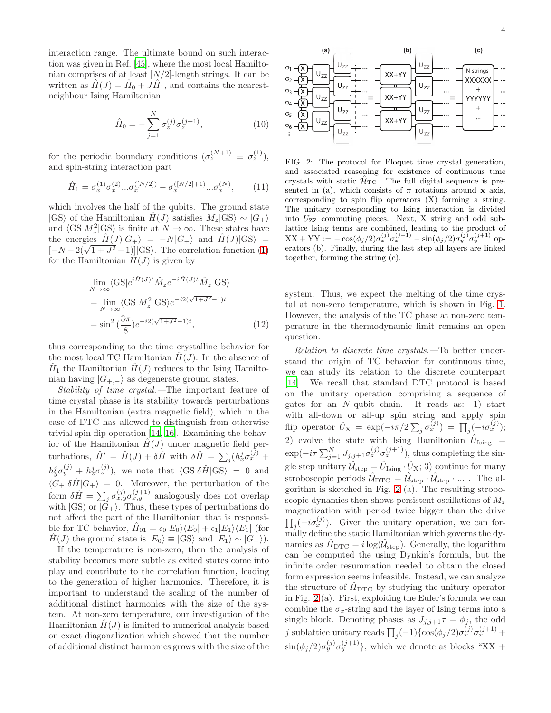interaction range. The ultimate bound on such interaction was given in Ref. [\[45](#page-5-25)], where the most local Hamiltonian comprises of at least  $[N/2]$ -length strings. It can be written as  $\hat{H}(J) = \hat{H}_0 + J\hat{H}_1$ , and contains the nearestneighbour Ising Hamiltonian

$$
\hat{H}_0 = -\sum_{j=1}^{N} \sigma_z^{(j)} \sigma_z^{(j+1)}, \tag{10}
$$

for the periodic boundary conditions  $(\sigma_z^{(N+1)} \equiv \sigma_z^{(1)})$ , and spin-string interaction part

$$
\hat{H}_1 = \sigma_x^{(1)} \sigma_x^{(2)} \dots \sigma_x^{([N/2])} - \sigma_x^{([N/2]+1)} \dots \sigma_x^{(N)},\tag{11}
$$

which involves the half of the qubits. The ground state  $|GS\rangle$  of the Hamiltonian  $H(J)$  satisfies  $M_z|GS\rangle \sim |G_+\rangle$ and  $\langle GS|M_z^2|GS\rangle$  is finite at  $N \to \infty$ . These states have the energies  $\hat{H}(J)|G_{+}\rangle = -N|G_{+}\rangle$  and  $\hat{H}(J)|\text{GS}\rangle =$  $[-N-2(\sqrt{1+J^2}-1)]$  (GS). The correlation function [\(1\)](#page-0-0) for the Hamiltonian  $H(J)$  is given by

$$
\lim_{N \to \infty} \langle \text{GS} | e^{i\hat{H}(J)t} \hat{M}_z e^{-i\hat{H}(J)t} \hat{M}_z | \text{GS} \rangle
$$
\n
$$
= \lim_{N \to \infty} \langle \text{GS} | M_z^2 | \text{GS} \rangle e^{-i2(\sqrt{1+J^2}-1)t}
$$
\n
$$
= \sin^2 \left( \frac{3\pi}{8} \right) e^{-i2(\sqrt{1+J^2}-1)t}, \tag{12}
$$

thus corresponding to the time crystalline behavior for the most local TC Hamiltonian  $H(J)$ . In the absence of  $\hat{H}_1$  the Hamiltonian  $\hat{H}(J)$  reduces to the Ising Hamiltonian having  $|G_{+,-}\rangle$  as degenerate ground states.

Stability of time crystal.—The important feature of time crystal phase is its stability towards perturbations in the Hamiltonian (extra magnetic field), which in the case of DTC has allowed to distinguish from otherwise trivial spin flip operation [\[14,](#page-4-14) [16\]](#page-4-15). Examining the behavior of the Hamiltonian  $H(J)$  under magnetic field perturbations,  $\hat{H}' = \hat{H}(J) + \delta \hat{H}$  with  $\delta \hat{H} = \sum_j (h_x^j \sigma_x^{(j)} +$  $h_y^j \sigma_y^{(j)} + h_z^j \sigma_z^{(j)}$ , we note that  $\langle \text{GS} | \delta \hat{H} | \text{GS} \rangle = 0$  and  $\langle G_+|\delta \hat{H}|G_+\rangle = 0$ . Moreover, the perturbation of the form  $\delta \hat{H} = \sum_{j} \sigma_{x,y}^{(j)} \sigma_{x,y}^{(j+1)}$  analogously does not overlap with  $|GS\rangle$  or  $|G_{+}\rangle$ . Thus, these types of perturbations do not affect the part of the Hamiltonian that is responsible for TC behavior,  $\hat{H}_{01} = \epsilon_0 |E_0\rangle \langle E_0| + \epsilon_1 |E_1\rangle \langle E_1|$  (for  $H(J)$  the ground state is  $|E_0\rangle \equiv |GS\rangle$  and  $|E_1\rangle \sim |G_+\rangle$ ).

If the temperature is non-zero, then the analysis of stability becomes more subtle as exited states come into play and contribute to the correlation function, leading to the generation of higher harmonics. Therefore, it is important to understand the scaling of the number of additional distinct harmonics with the size of the system. At non-zero temperature, our investigation of the Hamiltonian  $H(J)$  is limited to numerical analysis based on exact diagonalization which showed that the number of additional distinct harmonics grows with the size of the



<span id="page-3-0"></span>FIG. 2: The protocol for Floquet time crystal generation, and associated reasoning for existence of continuous time crystals with static  $\mathcal{H}_{TC}$ . The full digital sequence is presented in (a), which consists of  $\pi$  rotations around **x** axis, corresponding to spin flip operators (X) forming a string. The unitary corresponding to Ising interaction is divided into UZZ commuting pieces. Next, X string and odd sublattice Ising terms are combined, leading to the product of  $XX + YY := -\cos(\phi_j/2)\sigma_x^{(j)}\sigma_x^{(j+1)} - \sin(\phi_j/2)\sigma_y^{(j)}\sigma_y^{(j+1)}$  operators (b). Finally, during the last step all layers are linked together, forming the string (c).

system. Thus, we expect the melting of the time crystal at non-zero temperature, which is shown in Fig. [1.](#page-2-2) However, the analysis of the TC phase at non-zero temperature in the thermodynamic limit remains an open question.

Relation to discrete time crystals.—To better understand the origin of TC behavior for continuous time, we can study its relation to the discrete counterpart [\[14\]](#page-4-14). We recall that standard DTC protocol is based on the unitary operation comprising a sequence of gates for an N-qubit chain. It reads as: 1) start with all-down or all-up spin string and apply spin flip operator  $\hat{U}_{\text{X}} = \exp(-i\pi/2 \sum_j \sigma_x^{(j)}) = \prod_j (-i\sigma_x^{(j)})$ ; 2) evolve the state with Ising Hamiltonian  $\hat{U}_{\text{Ising}}$  =  $\exp(-i\tau \sum_{j=1}^{N} J_{j,j+1} \sigma_z^{(j)} \sigma_z^{(j+1)})$ , thus completing the single step unitary  $\hat{U}_{\text{step}} = \hat{U}_{\text{Ising}} \cdot \hat{U}_{\text{X}}$ ; 3) continue for many stroboscopic periods  $\hat{\mathcal{U}}_{\text{DTC}} = \hat{\mathcal{U}}_{\text{step}} \cdot \hat{\mathcal{U}}_{\text{step}} \cdot ...$ . The algorithm is sketched in Fig. [2](#page-3-0) (a). The resulting stroboscopic dynamics then shows persistent oscillations of  $M_z$ magnetization with period twice bigger than the drive  $\prod_j(-i\sigma_x^{(j)})$ . Given the unitary operation, we can formally define the static Hamiltonian which governs the dynamics as  $\hat{H}_{\text{DTC}} = i \log(\hat{U}_{\text{step}})$ . Generally, the logarithm can be computed the using Dynkin's formula, but the infinite order resummation needed to obtain the closed form expression seems infeasible. Instead, we can analyze the structure of  $\hat{H}_{\text{DTC}}$  by studying the unitary operator in Fig. [2](#page-3-0) (a). First, exploiting the Euler's formula we can combine the  $\sigma_x$ -string and the layer of Ising terms into a single block. Denoting phases as  $J_{j,j+1}\tau = \phi_j$ , the odd j sublattice unitary reads  $\prod_j(-1)\{\cos(\phi_j/2)\sigma_x^{(j)}\sigma_x^{(j+1)} +$  $\sin(\phi_j/2)\sigma_y^{(j)}\sigma_y^{(j+1)}\},\$  which we denote as blocks "XX +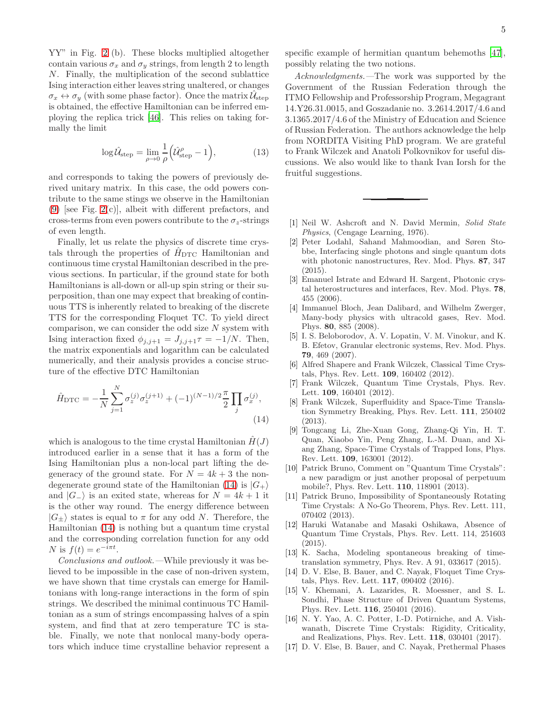YY" in Fig. [2](#page-3-0) (b). These blocks multiplied altogether contain various  $\sigma_x$  and  $\sigma_y$  strings, from length 2 to length N. Finally, the multiplication of the second sublattice Ising interaction either leaves string unaltered, or changes  $\sigma_x \leftrightarrow \sigma_y$  (with some phase factor). Once the matrix  $\hat{\mathcal{U}}_{\text{step}}$ is obtained, the effective Hamiltonian can be inferred employing the replica trick [\[46\]](#page-5-26). This relies on taking formally the limit

$$
\log \hat{U}_{\text{step}} = \lim_{\rho \to 0} \frac{1}{\rho} \left( \hat{U}_{\text{step}}^{\rho} - 1 \right),\tag{13}
$$

and corresponds to taking the powers of previously derived unitary matrix. In this case, the odd powers contribute to the same stings we observe in the Hamiltonian  $(9)$  [see Fig. [2\(](#page-3-0)c)], albeit with different prefactors, and cross-terms from even powers contribute to the  $\sigma_z$ -strings of even length.

Finally, let us relate the physics of discrete time crystals through the properties of  $H_{\text{DTC}}$  Hamiltonian and continuous time crystal Hamiltonian described in the previous sections. In particular, if the ground state for both Hamiltonians is all-down or all-up spin string or their superposition, than one may expect that breaking of continuous TTS is inherently related to breaking of the discrete TTS for the corresponding Floquet TC. To yield direct comparison, we can consider the odd size  $N$  system with Ising interaction fixed  $\phi_{j,j+1} = J_{j,j+1}\tau = -1/N$ . Then, the matrix exponentials and logarithm can be calculated numerically, and their analysis provides a concise structure of the effective DTC Hamiltonian

$$
\hat{H}_{\text{DTC}} = -\frac{1}{N} \sum_{j=1}^{N} \sigma_z^{(j)} \sigma_z^{(j+1)} + (-1)^{(N-1)/2} \frac{\pi}{2} \prod_j \sigma_x^{(j)},\tag{14}
$$

which is analogous to the time crystal Hamiltonian  $H(J)$ introduced earlier in a sense that it has a form of the Ising Hamiltonian plus a non-local part lifting the degeneracy of the ground state. For  $N = 4k + 3$  the non-degenerate ground state of the Hamiltonian [\(14\)](#page-4-17) is  $|G_+\rangle$ and  $|G_-\rangle$  is an exited state, whereas for  $N = 4k + 1$  it is the other way round. The energy difference between  $|G_{\pm}\rangle$  states is equal to  $\pi$  for any odd N. Therefore, the Hamiltonian [\(14\)](#page-4-17) is nothing but a quantum time crystal and the corresponding correlation function for any odd N is  $f(t) = e^{-i\pi t}$ .

Conclusions and outlook.—While previously it was believed to be impossible in the case of non-driven system, we have shown that time crystals can emerge for Hamiltonians with long-range interactions in the form of spin strings. We described the minimal continuous TC Hamiltonian as a sum of strings encompassing halves of a spin system, and find that at zero temperature TC is stable. Finally, we note that nonlocal many-body operators which induce time crystalline behavior represent a specific example of hermitian quantum behemoths [\[47\]](#page-5-27), possibly relating the two notions.

Acknowledgments.—The work was supported by the Government of the Russian Federation through the ITMO Fellowship and Professorship Program, Megagrant 14.Y26.31.0015, and Goszadanie no. 3.2614.2017/4.6 and 3.1365.2017/4.6 of the Ministry of Education and Science of Russian Federation. The authors acknowledge the help from NORDITA Visiting PhD program. We are grateful to Frank Wilczek and Anatoli Polkovnikov for useful discussions. We also would like to thank Ivan Iorsh for the fruitful suggestions.

- <span id="page-4-0"></span>[1] Neil W. Ashcroft and N. David Mermin, Solid State Physics, (Cengage Learning, 1976).
- <span id="page-4-1"></span>[2] Peter Lodahl, Sahand Mahmoodian, and Søren Stobbe, Interfacing single photons and single quantum dots with photonic nanostructures, Rev. Mod. Phys. 87, 347 (2015).
- <span id="page-4-2"></span>[3] Emanuel Istrate and Edward H. Sargent, Photonic crystal heterostructures and interfaces, Rev. Mod. Phys. 78, 455 (2006).
- <span id="page-4-3"></span>[4] Immanuel Bloch, Jean Dalibard, and Wilhelm Zwerger, Many-body physics with ultracold gases, Rev. Mod. Phys. 80, 885 (2008).
- <span id="page-4-4"></span>[5] I. S. Beloborodov, A. V. Lopatin, V. M. Vinokur, and K. B. Efetov, Granular electronic systems, Rev. Mod. Phys. 79, 469 (2007).
- <span id="page-4-5"></span>[6] Alfred Shapere and Frank Wilczek, Classical Time Crystals, Phys. Rev. Lett. 109, 160402 (2012).
- <span id="page-4-6"></span>[7] Frank Wilczek, Quantum Time Crystals, Phys. Rev. Lett. 109, 160401 (2012).
- <span id="page-4-7"></span>[8] Frank Wilczek, Superfluidity and Space-Time Translation Symmetry Breaking, Phys. Rev. Lett. 111, 250402 (2013).
- <span id="page-4-17"></span><span id="page-4-8"></span>[9] Tongcang Li, Zhe-Xuan Gong, Zhang-Qi Yin, H. T. Quan, Xiaobo Yin, Peng Zhang, L.-M. Duan, and Xiang Zhang, Space-Time Crystals of Trapped Ions, Phys. Rev. Lett. 109, 163001 (2012).
- <span id="page-4-9"></span>[10] Patrick Bruno, Comment on "Quantum Time Crystals": a new paradigm or just another proposal of perpetuum mobile?, Phys. Rev. Lett. 110, 118901 (2013).
- <span id="page-4-10"></span>[11] Patrick Bruno, Impossibility of Spontaneously Rotating Time Crystals: A No-Go Theorem, Phys. Rev. Lett. 111, 070402 (2013).
- <span id="page-4-11"></span>[12] Haruki Watanabe and Masaki Oshikawa, Absence of Quantum Time Crystals, Phys. Rev. Lett. 114, 251603 (2015).
- <span id="page-4-12"></span>[13] K. Sacha, Modeling spontaneous breaking of timetranslation symmetry, Phys. Rev. A 91, 033617 (2015).
- <span id="page-4-14"></span>[14] D. V. Else, B. Bauer, and C. Nayak, Floquet Time Crystals, Phys. Rev. Lett. 117, 090402 (2016).
- <span id="page-4-13"></span>[15] V. Khemani, A. Lazarides, R. Moessner, and S. L. Sondhi, Phase Structure of Driven Quantum Systems, Phys. Rev. Lett. 116, 250401 (2016).
- <span id="page-4-15"></span>[16] N. Y. Yao, A. C. Potter, I.-D. Potirniche, and A. Vishwanath, Discrete Time Crystals: Rigidity, Criticality, and Realizations, Phys. Rev. Lett. 118, 030401 (2017).
- <span id="page-4-16"></span>[17] D. V. Else, B. Bauer, and C. Nayak, Prethermal Phases